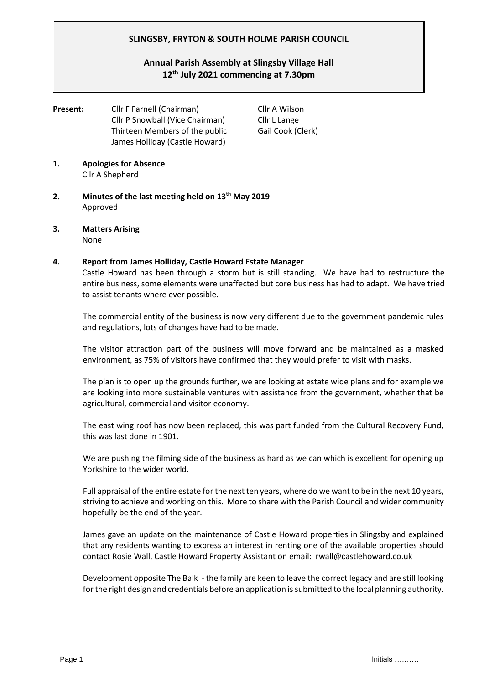## **SLINGSBY, FRYTON & SOUTH HOLME PARISH COUNCIL**

# **Annual Parish Assembly at Slingsby Village Hall 12th July 2021 commencing at 7.30pm**

**Present:** Cllr F Farnell (Chairman) Cllr A Wilson Cllr P Snowball (Vice Chairman) Cllr L Lange Thirteen Members of the public Gail Cook (Clerk) James Holliday (Castle Howard)

- **1. Apologies for Absence** Cllr A Shepherd
- **2. Minutes of the last meeting held on 13th May 2019** Approved
- **3. Matters Arising**  None

#### **4. Report from James Holliday, Castle Howard Estate Manager**

Castle Howard has been through a storm but is still standing. We have had to restructure the entire business, some elements were unaffected but core business has had to adapt. We have tried to assist tenants where ever possible.

The commercial entity of the business is now very different due to the government pandemic rules and regulations, lots of changes have had to be made.

The visitor attraction part of the business will move forward and be maintained as a masked environment, as 75% of visitors have confirmed that they would prefer to visit with masks.

The plan is to open up the grounds further, we are looking at estate wide plans and for example we are looking into more sustainable ventures with assistance from the government, whether that be agricultural, commercial and visitor economy.

The east wing roof has now been replaced, this was part funded from the Cultural Recovery Fund, this was last done in 1901.

We are pushing the filming side of the business as hard as we can which is excellent for opening up Yorkshire to the wider world.

Full appraisal of the entire estate for the next ten years, where do we want to be in the next 10 years, striving to achieve and working on this. More to share with the Parish Council and wider community hopefully be the end of the year.

James gave an update on the maintenance of Castle Howard properties in Slingsby and explained that any residents wanting to express an interest in renting one of the available properties should contact Rosie Wall, Castle Howard Property Assistant on email: rwall@castlehoward.co.uk

Development opposite The Balk - the family are keen to leave the correct legacy and are still looking for the right design and credentials before an application is submitted to the local planning authority.